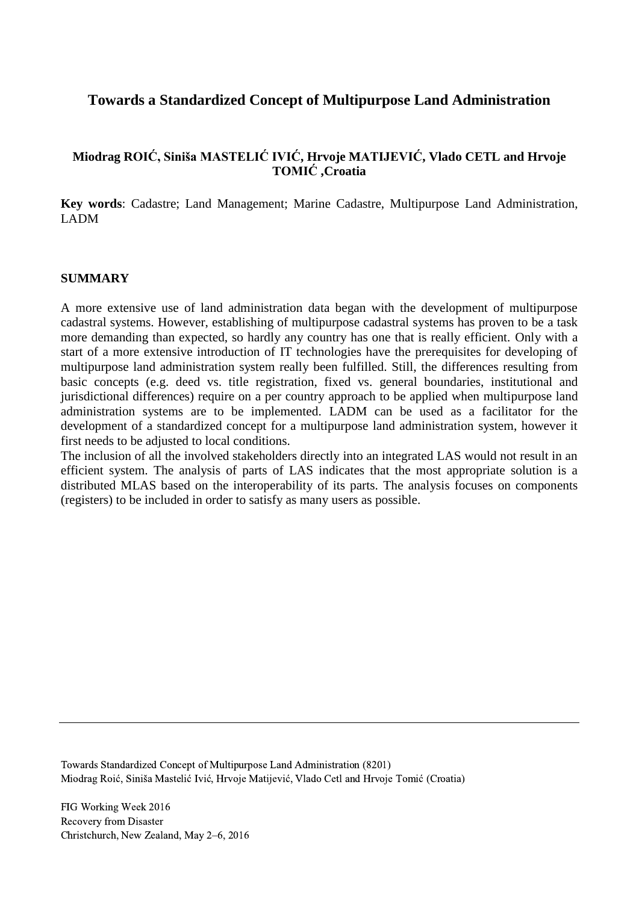## **Towards a Standardized Concept of Multipurpose Land Administration**

## **Miodrag ROIĆ, Siniša MASTELIĆ IVIĆ, Hrvoje MATIJEVIĆ, Vlado CETL and Hrvoje TOMIĆ ,Croatia**

**Key words**: Cadastre; Land Management; Marine Cadastre, Multipurpose Land Administration, LADM

#### **SUMMARY**

A more extensive use of land administration data began with the development of multipurpose cadastral systems. However, establishing of multipurpose cadastral systems has proven to be a task more demanding than expected, so hardly any country has one that is really efficient. Only with a start of a more extensive introduction of IT technologies have the prerequisites for developing of multipurpose land administration system really been fulfilled. Still, the differences resulting from basic concepts (e.g. deed vs. title registration, fixed vs. general boundaries, institutional and jurisdictional differences) require on a per country approach to be applied when multipurpose land administration systems are to be implemented. LADM can be used as a facilitator for the development of a standardized concept for a multipurpose land administration system, however it first needs to be adjusted to local conditions.

The inclusion of all the involved stakeholders directly into an integrated LAS would not result in an efficient system. The analysis of parts of LAS indicates that the most appropriate solution is a distributed MLAS based on the interoperability of its parts. The analysis focuses on components (registers) to be included in order to satisfy as many users as possible.

Towards Standardized Concept of Multipurpose Land Administration (8201) Miodrag Roić, Siniša Mastelić Ivić, Hrvoje Matijević, Vlado Cetl and Hrvoje Tomić (Croatia)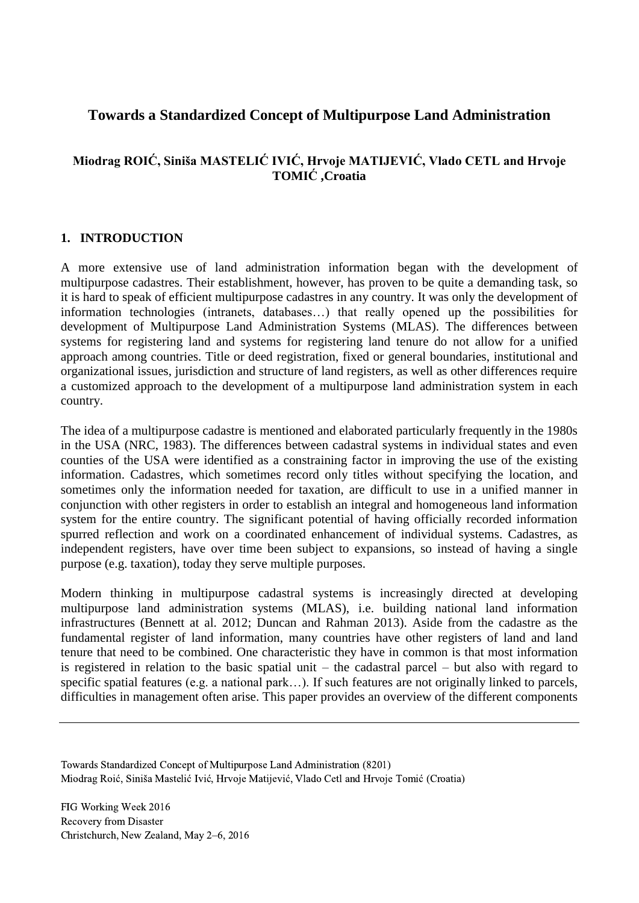# **Towards a Standardized Concept of Multipurpose Land Administration**

## **Miodrag ROIĆ, Siniša MASTELIĆ IVIĆ, Hrvoje MATIJEVIĆ, Vlado CETL and Hrvoje TOMIĆ ,Croatia**

### **1. INTRODUCTION**

A more extensive use of land administration information began with the development of multipurpose cadastres. Their establishment, however, has proven to be quite a demanding task, so it is hard to speak of efficient multipurpose cadastres in any country. It was only the development of information technologies (intranets, databases…) that really opened up the possibilities for development of Multipurpose Land Administration Systems (MLAS). The differences between systems for registering land and systems for registering land tenure do not allow for a unified approach among countries. Title or deed registration, fixed or general boundaries, institutional and organizational issues, jurisdiction and structure of land registers, as well as other differences require a customized approach to the development of a multipurpose land administration system in each country.

The idea of a multipurpose cadastre is mentioned and elaborated particularly frequently in the 1980s in the USA (NRC, 1983). The differences between cadastral systems in individual states and even counties of the USA were identified as a constraining factor in improving the use of the existing information. Cadastres, which sometimes record only titles without specifying the location, and sometimes only the information needed for taxation, are difficult to use in a unified manner in conjunction with other registers in order to establish an integral and homogeneous land information system for the entire country. The significant potential of having officially recorded information spurred reflection and work on a coordinated enhancement of individual systems. Cadastres, as independent registers, have over time been subject to expansions, so instead of having a single purpose (e.g. taxation), today they serve multiple purposes.

Modern thinking in multipurpose cadastral systems is increasingly directed at developing multipurpose land administration systems (MLAS), i.e. building national land information infrastructures (Bennett at al. 2012; Duncan and Rahman 2013). Aside from the cadastre as the fundamental register of land information, many countries have other registers of land and land tenure that need to be combined. One characteristic they have in common is that most information is registered in relation to the basic spatial unit – the cadastral parcel – but also with regard to specific spatial features (e.g. a national park...). If such features are not originally linked to parcels, difficulties in management often arise. This paper provides an overview of the different components

Towards Standardized Concept of Multipurpose Land Administration (8201) Miodrag Roić, Siniša Mastelić Ivić, Hrvoje Matijević, Vlado Cetl and Hrvoje Tomić (Croatia)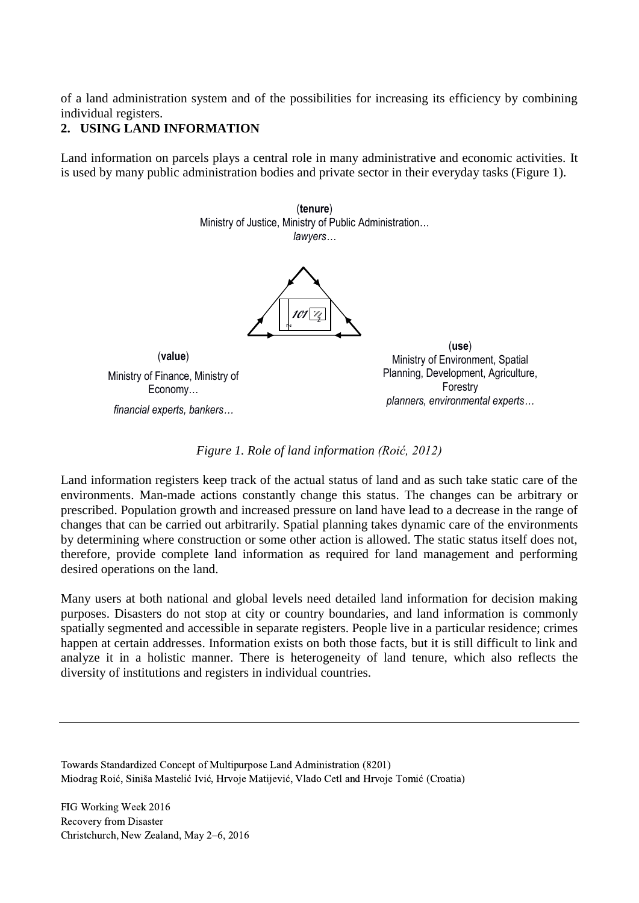of a land administration system and of the possibilities for increasing its efficiency by combining individual registers.

## **2. USING LAND INFORMATION**

Land information on parcels plays a central role in many administrative and economic activities. It is used by many public administration bodies and private sector in their everyday tasks (Figure 1).

> (**tenure**) Ministry of Justice, Ministry of Public Administration… *lawyers…*



(**value**) Ministry of Finance, Ministry of Economy… *financial experts, bankers…*

(**use**) Ministry of Environment, Spatial Planning, Development, Agriculture, Forestry *planners, environmental experts…*

*Figure 1. Role of land information (Roić, 2012)*

Land information registers keep track of the actual status of land and as such take static care of the environments. Man-made actions constantly change this status. The changes can be arbitrary or prescribed. Population growth and increased pressure on land have lead to a decrease in the range of changes that can be carried out arbitrarily. Spatial planning takes dynamic care of the environments by determining where construction or some other action is allowed. The static status itself does not, therefore, provide complete land information as required for land management and performing desired operations on the land.

Many users at both national and global levels need detailed land information for decision making purposes. Disasters do not stop at city or country boundaries, and land information is commonly spatially segmented and accessible in separate registers. People live in a particular residence; crimes happen at certain addresses. Information exists on both those facts, but it is still difficult to link and analyze it in a holistic manner. There is heterogeneity of land tenure, which also reflects the diversity of institutions and registers in individual countries.

Towards Standardized Concept of Multipurpose Land Administration (8201) Miodrag Roić, Siniša Mastelić Ivić, Hrvoje Matijević, Vlado Cetl and Hrvoje Tomić (Croatia)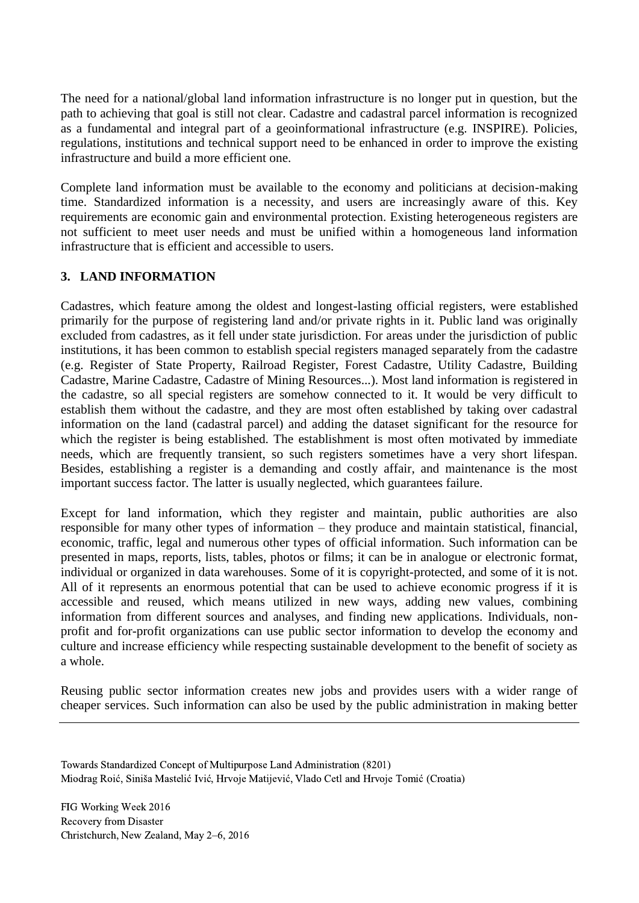The need for a national/global land information infrastructure is no longer put in question, but the path to achieving that goal is still not clear. Cadastre and cadastral parcel information is recognized as a fundamental and integral part of a geoinformational infrastructure (e.g. INSPIRE). Policies, regulations, institutions and technical support need to be enhanced in order to improve the existing infrastructure and build a more efficient one.

Complete land information must be available to the economy and politicians at decision-making time. Standardized information is a necessity, and users are increasingly aware of this. Key requirements are economic gain and environmental protection. Existing heterogeneous registers are not sufficient to meet user needs and must be unified within a homogeneous land information infrastructure that is efficient and accessible to users.

## **3. LAND INFORMATION**

Cadastres, which feature among the oldest and longest-lasting official registers, were established primarily for the purpose of registering land and/or private rights in it. Public land was originally excluded from cadastres, as it fell under state jurisdiction. For areas under the jurisdiction of public institutions, it has been common to establish special registers managed separately from the cadastre (e.g. Register of State Property, Railroad Register, Forest Cadastre, Utility Cadastre, Building Cadastre, Marine Cadastre, Cadastre of Mining Resources...). Most land information is registered in the cadastre, so all special registers are somehow connected to it. It would be very difficult to establish them without the cadastre, and they are most often established by taking over cadastral information on the land (cadastral parcel) and adding the dataset significant for the resource for which the register is being established. The establishment is most often motivated by immediate needs, which are frequently transient, so such registers sometimes have a very short lifespan. Besides, establishing a register is a demanding and costly affair, and maintenance is the most important success factor. The latter is usually neglected, which guarantees failure.

Except for land information, which they register and maintain, public authorities are also responsible for many other types of information – they produce and maintain statistical, financial, economic, traffic, legal and numerous other types of official information. Such information can be presented in maps, reports, lists, tables, photos or films; it can be in analogue or electronic format, individual or organized in data warehouses. Some of it is copyright-protected, and some of it is not. All of it represents an enormous potential that can be used to achieve economic progress if it is accessible and reused, which means utilized in new ways, adding new values, combining information from different sources and analyses, and finding new applications. Individuals, nonprofit and for-profit organizations can use public sector information to develop the economy and culture and increase efficiency while respecting sustainable development to the benefit of society as a whole.

Reusing public sector information creates new jobs and provides users with a wider range of cheaper services. Such information can also be used by the public administration in making better

Towards Standardized Concept of Multipurpose Land Administration (8201) Miodrag Roić, Siniša Mastelić Ivić, Hrvoje Matijević, Vlado Cetl and Hrvoje Tomić (Croatia)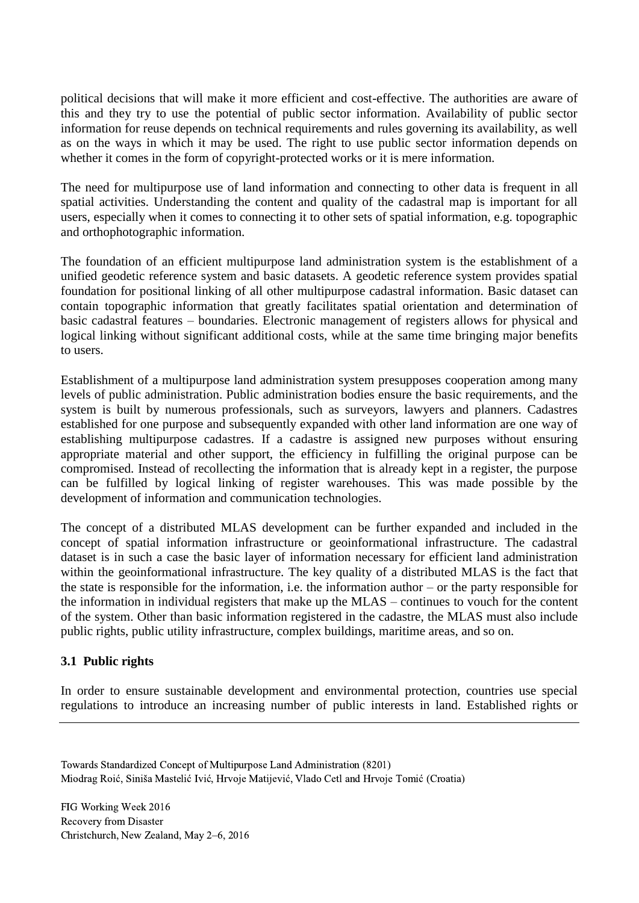political decisions that will make it more efficient and cost-effective. The authorities are aware of this and they try to use the potential of public sector information. Availability of public sector information for reuse depends on technical requirements and rules governing its availability, as well as on the ways in which it may be used. The right to use public sector information depends on whether it comes in the form of copyright-protected works or it is mere information.

The need for multipurpose use of land information and connecting to other data is frequent in all spatial activities. Understanding the content and quality of the cadastral map is important for all users, especially when it comes to connecting it to other sets of spatial information, e.g. topographic and orthophotographic information.

The foundation of an efficient multipurpose land administration system is the establishment of a unified geodetic reference system and basic datasets. A geodetic reference system provides spatial foundation for positional linking of all other multipurpose cadastral information. Basic dataset can contain topographic information that greatly facilitates spatial orientation and determination of basic cadastral features – boundaries. Electronic management of registers allows for physical and logical linking without significant additional costs, while at the same time bringing major benefits to users.

Establishment of a multipurpose land administration system presupposes cooperation among many levels of public administration. Public administration bodies ensure the basic requirements, and the system is built by numerous professionals, such as surveyors, lawyers and planners. Cadastres established for one purpose and subsequently expanded with other land information are one way of establishing multipurpose cadastres. If a cadastre is assigned new purposes without ensuring appropriate material and other support, the efficiency in fulfilling the original purpose can be compromised. Instead of recollecting the information that is already kept in a register, the purpose can be fulfilled by logical linking of register warehouses. This was made possible by the development of information and communication technologies.

The concept of a distributed MLAS development can be further expanded and included in the concept of spatial information infrastructure or geoinformational infrastructure. The cadastral dataset is in such a case the basic layer of information necessary for efficient land administration within the geoinformational infrastructure. The key quality of a distributed MLAS is the fact that the state is responsible for the information, i.e. the information author – or the party responsible for the information in individual registers that make up the MLAS – continues to vouch for the content of the system. Other than basic information registered in the cadastre, the MLAS must also include public rights, public utility infrastructure, complex buildings, maritime areas, and so on.

### **3.1 Public rights**

In order to ensure sustainable development and environmental protection, countries use special regulations to introduce an increasing number of public interests in land. Established rights or

Towards Standardized Concept of Multipurpose Land Administration (8201) Miodrag Roić, Siniša Mastelić Ivić, Hrvoje Matijević, Vlado Cetl and Hrvoje Tomić (Croatia)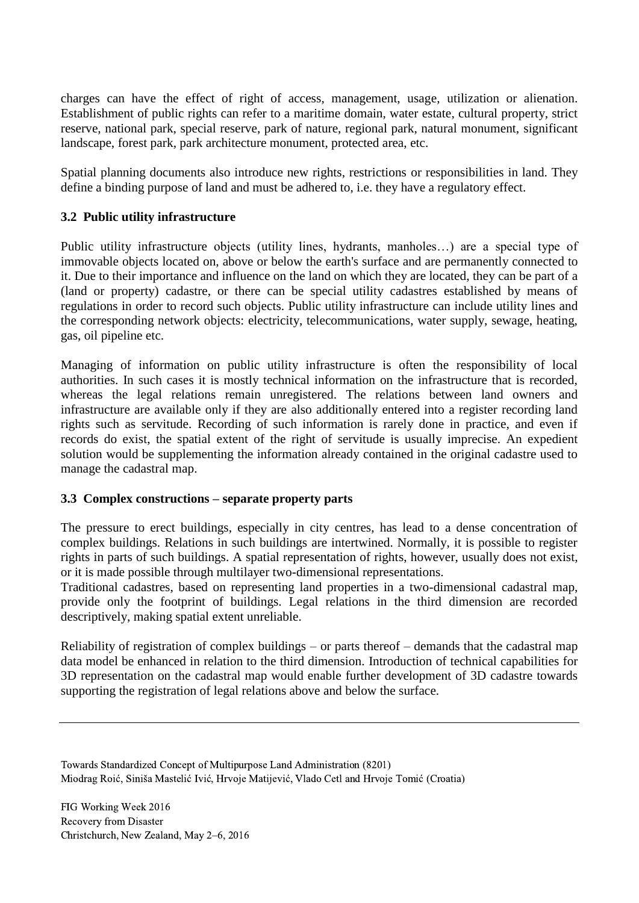charges can have the effect of right of access, management, usage, utilization or alienation. Establishment of public rights can refer to a maritime domain, water estate, cultural property, strict reserve, national park, special reserve, park of nature, regional park, natural monument, significant landscape, forest park, park architecture monument, protected area, etc.

Spatial planning documents also introduce new rights, restrictions or responsibilities in land. They define a binding purpose of land and must be adhered to, i.e. they have a regulatory effect.

### **3.2 Public utility infrastructure**

Public utility infrastructure objects (utility lines, hydrants, manholes…) are a special type of immovable objects located on, above or below the earth's surface and are permanently connected to it. Due to their importance and influence on the land on which they are located, they can be part of a (land or property) cadastre, or there can be special utility cadastres established by means of regulations in order to record such objects. Public utility infrastructure can include utility lines and the corresponding network objects: electricity, telecommunications, water supply, sewage, heating, gas, oil pipeline etc.

Managing of information on public utility infrastructure is often the responsibility of local authorities. In such cases it is mostly technical information on the infrastructure that is recorded, whereas the legal relations remain unregistered. The relations between land owners and infrastructure are available only if they are also additionally entered into a register recording land rights such as servitude. Recording of such information is rarely done in practice, and even if records do exist, the spatial extent of the right of servitude is usually imprecise. An expedient solution would be supplementing the information already contained in the original cadastre used to manage the cadastral map.

### **3.3 Complex constructions – separate property parts**

The pressure to erect buildings, especially in city centres, has lead to a dense concentration of complex buildings. Relations in such buildings are intertwined. Normally, it is possible to register rights in parts of such buildings. A spatial representation of rights, however, usually does not exist, or it is made possible through multilayer two-dimensional representations.

Traditional cadastres, based on representing land properties in a two-dimensional cadastral map, provide only the footprint of buildings. Legal relations in the third dimension are recorded descriptively, making spatial extent unreliable.

Reliability of registration of complex buildings – or parts thereof – demands that the cadastral map data model be enhanced in relation to the third dimension. Introduction of technical capabilities for 3D representation on the cadastral map would enable further development of 3D cadastre towards supporting the registration of legal relations above and below the surface.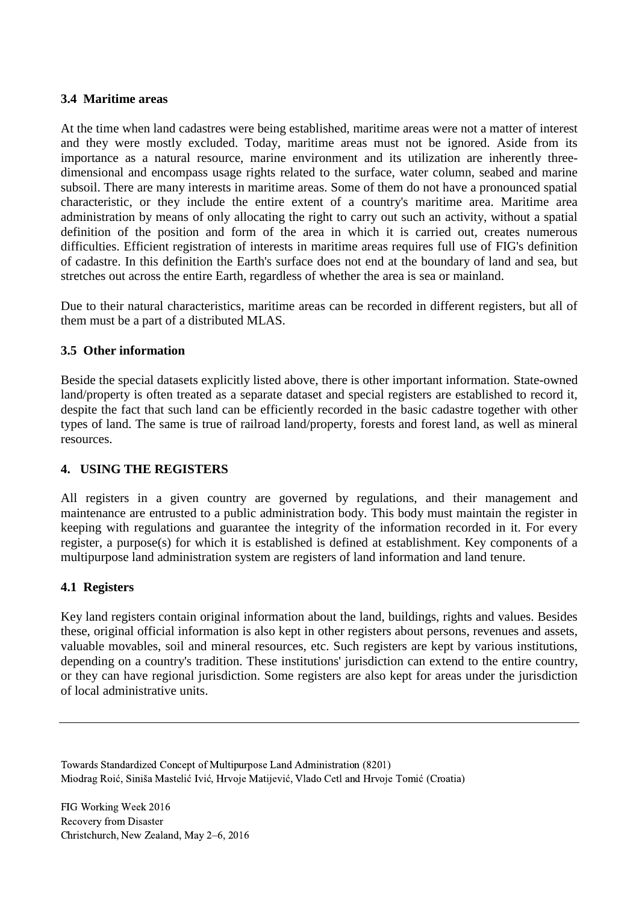#### **3.4 Maritime areas**

At the time when land cadastres were being established, maritime areas were not a matter of interest and they were mostly excluded. Today, maritime areas must not be ignored. Aside from its importance as a natural resource, marine environment and its utilization are inherently threedimensional and encompass usage rights related to the surface, water column, seabed and marine subsoil. There are many interests in maritime areas. Some of them do not have a pronounced spatial characteristic, or they include the entire extent of a country's maritime area. Maritime area administration by means of only allocating the right to carry out such an activity, without a spatial definition of the position and form of the area in which it is carried out, creates numerous difficulties. Efficient registration of interests in maritime areas requires full use of FIG's definition of cadastre. In this definition the Earth's surface does not end at the boundary of land and sea, but stretches out across the entire Earth, regardless of whether the area is sea or mainland.

Due to their natural characteristics, maritime areas can be recorded in different registers, but all of them must be a part of a distributed MLAS.

#### **3.5 Other information**

Beside the special datasets explicitly listed above, there is other important information. State-owned land/property is often treated as a separate dataset and special registers are established to record it, despite the fact that such land can be efficiently recorded in the basic cadastre together with other types of land. The same is true of railroad land/property, forests and forest land, as well as mineral resources.

### **4. USING THE REGISTERS**

All registers in a given country are governed by regulations, and their management and maintenance are entrusted to a public administration body. This body must maintain the register in keeping with regulations and guarantee the integrity of the information recorded in it. For every register, a purpose(s) for which it is established is defined at establishment. Key components of a multipurpose land administration system are registers of land information and land tenure.

#### **4.1 Registers**

Key land registers contain original information about the land, buildings, rights and values. Besides these, original official information is also kept in other registers about persons, revenues and assets, valuable movables, soil and mineral resources, etc. Such registers are kept by various institutions, depending on a country's tradition. These institutions' jurisdiction can extend to the entire country, or they can have regional jurisdiction. Some registers are also kept for areas under the jurisdiction of local administrative units.

Towards Standardized Concept of Multipurpose Land Administration (8201) Miodrag Roić, Siniša Mastelić Ivić, Hrvoje Matijević, Vlado Cetl and Hrvoje Tomić (Croatia)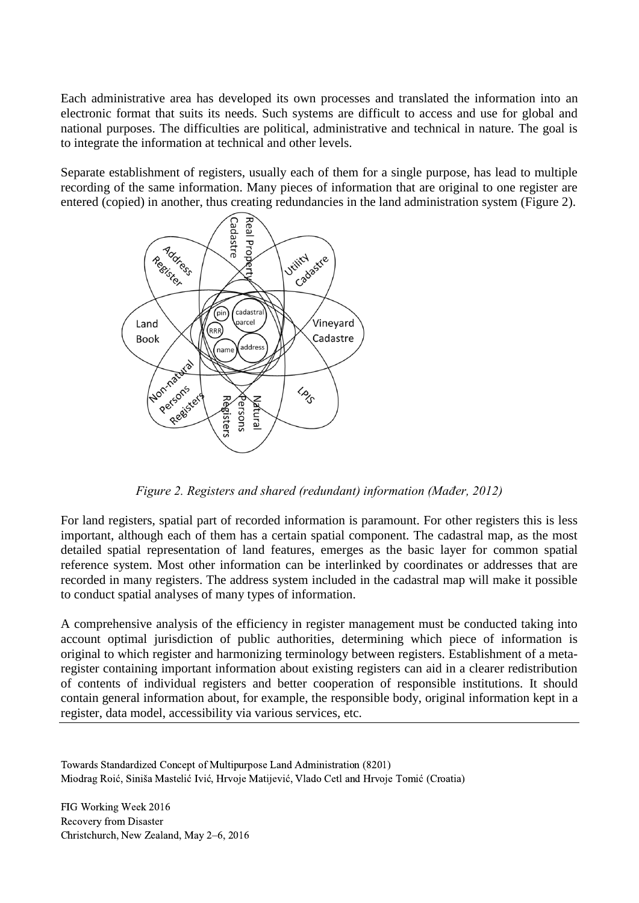Each administrative area has developed its own processes and translated the information into an electronic format that suits its needs. Such systems are difficult to access and use for global and national purposes. The difficulties are political, administrative and technical in nature. The goal is to integrate the information at technical and other levels.

Separate establishment of registers, usually each of them for a single purpose, has lead to multiple recording of the same information. Many pieces of information that are original to one register are entered (copied) in another, thus creating redundancies in the land administration system (Figure 2).



*Figure 2. Registers and shared (redundant) information (Mađer, 2012)*

For land registers, spatial part of recorded information is paramount. For other registers this is less important, although each of them has a certain spatial component. The cadastral map, as the most detailed spatial representation of land features, emerges as the basic layer for common spatial reference system. Most other information can be interlinked by coordinates or addresses that are recorded in many registers. The address system included in the cadastral map will make it possible to conduct spatial analyses of many types of information.

A comprehensive analysis of the efficiency in register management must be conducted taking into account optimal jurisdiction of public authorities, determining which piece of information is original to which register and harmonizing terminology between registers. Establishment of a metaregister containing important information about existing registers can aid in a clearer redistribution of contents of individual registers and better cooperation of responsible institutions. It should contain general information about, for example, the responsible body, original information kept in a register, data model, accessibility via various services, etc.

Towards Standardized Concept of Multipurpose Land Administration (8201) Miodrag Roić, Siniša Mastelić Ivić, Hrvoje Matijević, Vlado Cetl and Hrvoje Tomić (Croatia)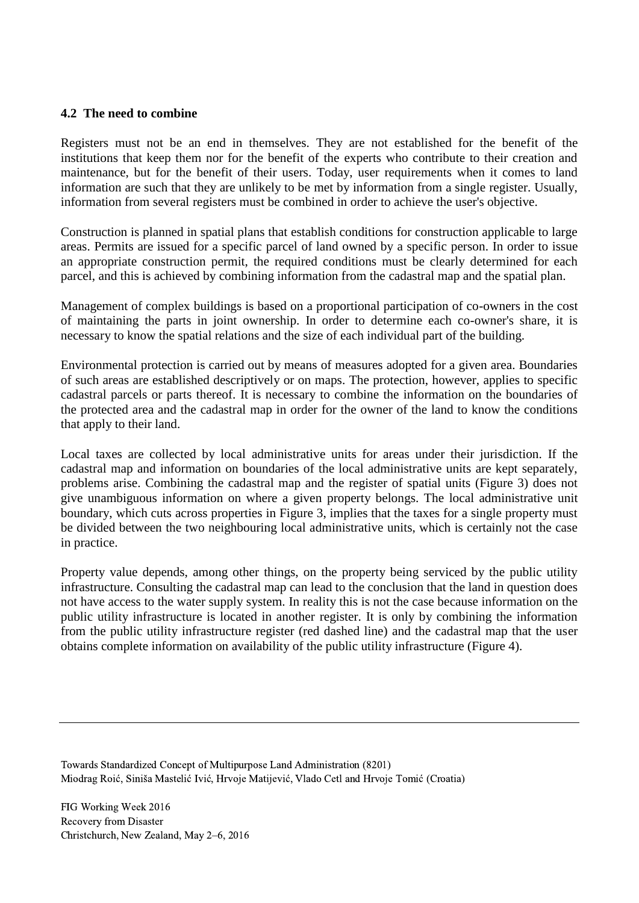#### **4.2 The need to combine**

Registers must not be an end in themselves. They are not established for the benefit of the institutions that keep them nor for the benefit of the experts who contribute to their creation and maintenance, but for the benefit of their users. Today, user requirements when it comes to land information are such that they are unlikely to be met by information from a single register. Usually, information from several registers must be combined in order to achieve the user's objective.

Construction is planned in spatial plans that establish conditions for construction applicable to large areas. Permits are issued for a specific parcel of land owned by a specific person. In order to issue an appropriate construction permit, the required conditions must be clearly determined for each parcel, and this is achieved by combining information from the cadastral map and the spatial plan.

Management of complex buildings is based on a proportional participation of co-owners in the cost of maintaining the parts in joint ownership. In order to determine each co-owner's share, it is necessary to know the spatial relations and the size of each individual part of the building.

Environmental protection is carried out by means of measures adopted for a given area. Boundaries of such areas are established descriptively or on maps. The protection, however, applies to specific cadastral parcels or parts thereof. It is necessary to combine the information on the boundaries of the protected area and the cadastral map in order for the owner of the land to know the conditions that apply to their land.

Local taxes are collected by local administrative units for areas under their jurisdiction. If the cadastral map and information on boundaries of the local administrative units are kept separately, problems arise. Combining the cadastral map and the register of spatial units (Figure 3) does not give unambiguous information on where a given property belongs. The local administrative unit boundary, which cuts across properties in Figure 3, implies that the taxes for a single property must be divided between the two neighbouring local administrative units, which is certainly not the case in practice.

Property value depends, among other things, on the property being serviced by the public utility infrastructure. Consulting the cadastral map can lead to the conclusion that the land in question does not have access to the water supply system. In reality this is not the case because information on the public utility infrastructure is located in another register. It is only by combining the information from the public utility infrastructure register (red dashed line) and the cadastral map that the user obtains complete information on availability of the public utility infrastructure (Figure 4).

Towards Standardized Concept of Multipurpose Land Administration (8201) Miodrag Roić, Siniša Mastelić Ivić, Hrvoje Matijević, Vlado Cetl and Hrvoje Tomić (Croatia)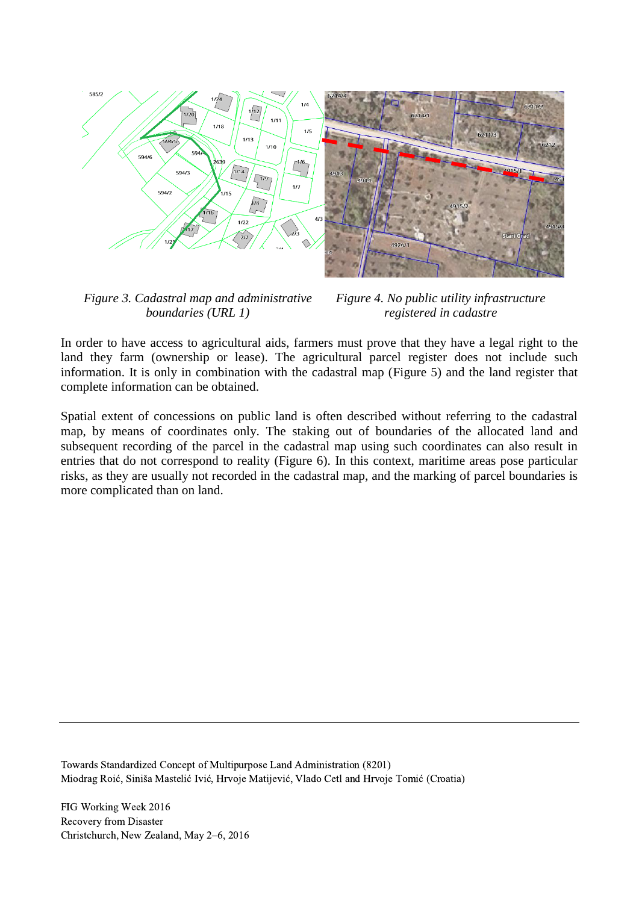

*Figure 3. Cadastral map and administrative boundaries (URL 1)*

*Figure 4. No public utility infrastructure registered in cadastre*

In order to have access to agricultural aids, farmers must prove that they have a legal right to the land they farm (ownership or lease). The agricultural parcel register does not include such information. It is only in combination with the cadastral map (Figure 5) and the land register that complete information can be obtained.

Spatial extent of concessions on public land is often described without referring to the cadastral map, by means of coordinates only. The staking out of boundaries of the allocated land and subsequent recording of the parcel in the cadastral map using such coordinates can also result in entries that do not correspond to reality (Figure 6). In this context, maritime areas pose particular risks, as they are usually not recorded in the cadastral map, and the marking of parcel boundaries is more complicated than on land.

Towards Standardized Concept of Multipurpose Land Administration (8201) Miodrag Roić, Siniša Mastelić Ivić, Hrvoje Matijević, Vlado Cetl and Hrvoje Tomić (Croatia)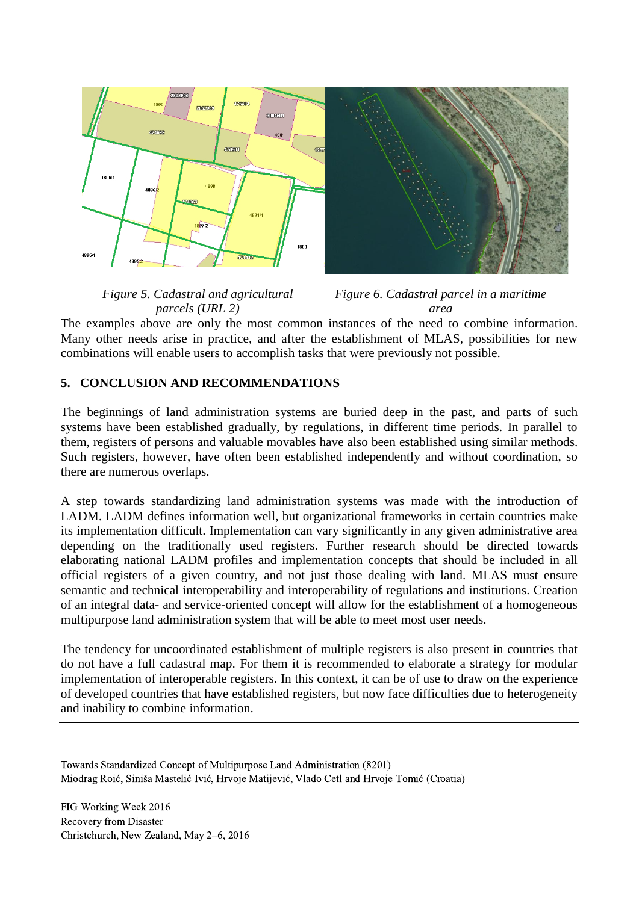

*Figure 5. Cadastral and agricultural parcels (URL 2)*

*Figure 6. Cadastral parcel in a maritime area*

The examples above are only the most common instances of the need to combine information. Many other needs arise in practice, and after the establishment of MLAS, possibilities for new combinations will enable users to accomplish tasks that were previously not possible.

## **5. CONCLUSION AND RECOMMENDATIONS**

The beginnings of land administration systems are buried deep in the past, and parts of such systems have been established gradually, by regulations, in different time periods. In parallel to them, registers of persons and valuable movables have also been established using similar methods. Such registers, however, have often been established independently and without coordination, so there are numerous overlaps.

A step towards standardizing land administration systems was made with the introduction of LADM. LADM defines information well, but organizational frameworks in certain countries make its implementation difficult. Implementation can vary significantly in any given administrative area depending on the traditionally used registers. Further research should be directed towards elaborating national LADM profiles and implementation concepts that should be included in all official registers of a given country, and not just those dealing with land. MLAS must ensure semantic and technical interoperability and interoperability of regulations and institutions. Creation of an integral data- and service-oriented concept will allow for the establishment of a homogeneous multipurpose land administration system that will be able to meet most user needs.

The tendency for uncoordinated establishment of multiple registers is also present in countries that do not have a full cadastral map. For them it is recommended to elaborate a strategy for modular implementation of interoperable registers. In this context, it can be of use to draw on the experience of developed countries that have established registers, but now face difficulties due to heterogeneity and inability to combine information.

Towards Standardized Concept of Multipurpose Land Administration (8201) Miodrag Roić, Siniša Mastelić Ivić, Hrvoje Matijević, Vlado Cetl and Hrvoje Tomić (Croatia)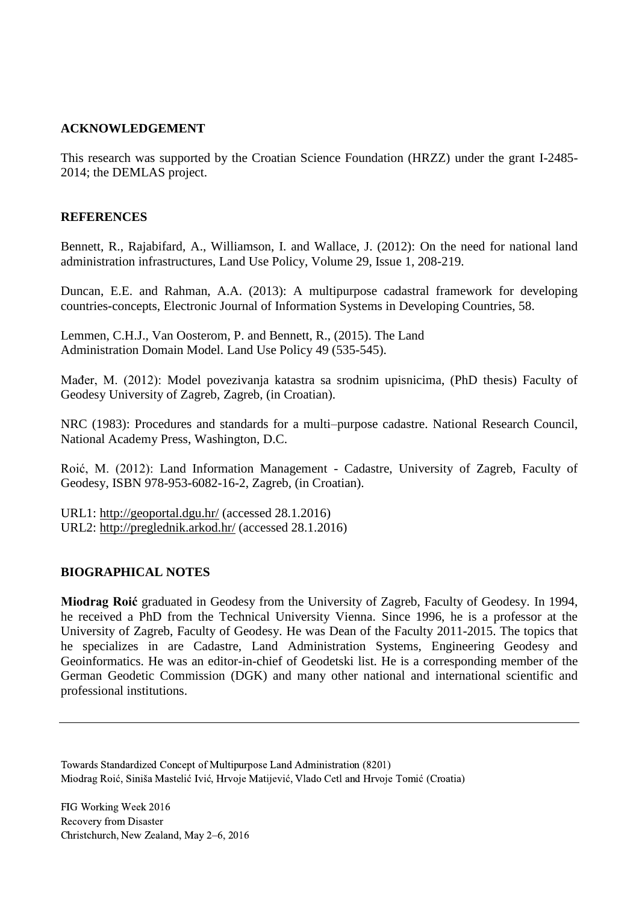#### **ACKNOWLEDGEMENT**

This research was supported by the Croatian Science Foundation (HRZZ) under the grant I-2485- 2014; the DEMLAS project.

#### **REFERENCES**

Bennett, R., Rajabifard, A., Williamson, I. and Wallace, J. (2012): On the need for national land administration infrastructures, Land Use Policy, Volume 29, Issue 1, 208-219.

Duncan, E.E. and Rahman, A.A. (2013): A multipurpose cadastral framework for developing countries-concepts, Electronic Journal of Information Systems in Developing Countries, 58.

Lemmen, C.H.J., Van Oosterom, P. and Bennett, R., (2015). The Land Administration Domain Model. Land Use Policy 49 (535-545).

Mađer, M. (2012): Model povezivanja katastra sa srodnim upisnicima, (PhD thesis) Faculty of Geodesy University of Zagreb, Zagreb, (in Croatian).

NRC (1983): Procedures and standards for a multi–purpose cadastre. National Research Council, National Academy Press, Washington, D.C.

Roić, M. (2012): Land Information Management - Cadastre, University of Zagreb, Faculty of Geodesy, ISBN 978-953-6082-16-2, Zagreb, (in Croatian).

URL1: <http://geoportal.dgu.hr/> (accessed 28.1.2016) URL2: <http://preglednik.arkod.hr/> (accessed 28.1.2016)

#### **BIOGRAPHICAL NOTES**

**Miodrag Roić** graduated in Geodesy from the University of Zagreb, Faculty of Geodesy. In 1994, he received a PhD from the Technical University Vienna. Since 1996, he is a professor at the University of Zagreb, Faculty of Geodesy. He was Dean of the Faculty 2011-2015. The topics that he specializes in are Cadastre, Land Administration Systems, Engineering Geodesy and Geoinformatics. He was an editor-in-chief of Geodetski list. He is a corresponding member of the German Geodetic Commission (DGK) and many other national and international scientific and professional institutions.

Towards Standardized Concept of Multipurpose Land Administration (8201) Miodrag Roić, Siniša Mastelić Ivić, Hrvoje Matijević, Vlado Cetl and Hrvoje Tomić (Croatia)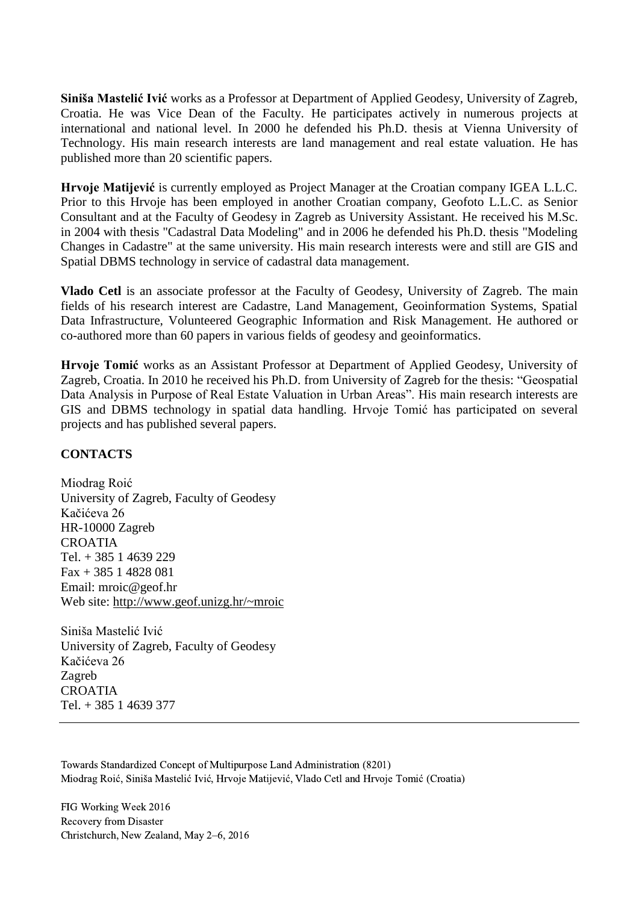**Siniša Mastelić Ivić** works as a Professor at Department of Applied Geodesy, University of Zagreb, Croatia. He was Vice Dean of the Faculty. He participates actively in numerous projects at international and national level. In 2000 he defended his Ph.D. thesis at Vienna University of Technology. His main research interests are land management and real estate valuation. He has published more than 20 scientific papers.

**Hrvoje Matijević** is currently employed as Project Manager at the Croatian company IGEA L.L.C. Prior to this Hrvoje has been employed in another Croatian company, Geofoto L.L.C. as Senior Consultant and at the Faculty of Geodesy in Zagreb as University Assistant. He received his M.Sc. in 2004 with thesis "Cadastral Data Modeling" and in 2006 he defended his Ph.D. thesis "Modeling Changes in Cadastre" at the same university. His main research interests were and still are GIS and Spatial DBMS technology in service of cadastral data management.

**Vlado Cetl** is an associate professor at the Faculty of Geodesy, University of Zagreb. The main fields of his research interest are Cadastre, Land Management, Geoinformation Systems, Spatial Data Infrastructure, Volunteered Geographic Information and Risk Management. He authored or co-authored more than 60 papers in various fields of geodesy and geoinformatics.

**Hrvoje Tomić** works as an Assistant Professor at Department of Applied Geodesy, University of Zagreb, Croatia. In 2010 he received his Ph.D. from University of Zagreb for the thesis: "Geospatial Data Analysis in Purpose of Real Estate Valuation in Urban Areas". His main research interests are GIS and DBMS technology in spatial data handling. Hrvoje Tomić has participated on several projects and has published several papers.

### **CONTACTS**

Miodrag Roić University of Zagreb, Faculty of Geodesy Kačićeva 26 HR-10000 Zagreb CROATIA Tel. + 385 1 4639 229 Fax + 385 1 4828 081 Email: mroic@geof.hr Web site: <http://www.geof.unizg.hr/~mroic>

Siniša Mastelić Ivić University of Zagreb, Faculty of Geodesy Kačićeva 26 Zagreb CROATIA Tel. + 385 1 4639 377

Towards Standardized Concept of Multipurpose Land Administration (8201) Miodrag Roić, Siniša Mastelić Ivić, Hrvoje Matijević, Vlado Cetl and Hrvoje Tomić (Croatia)